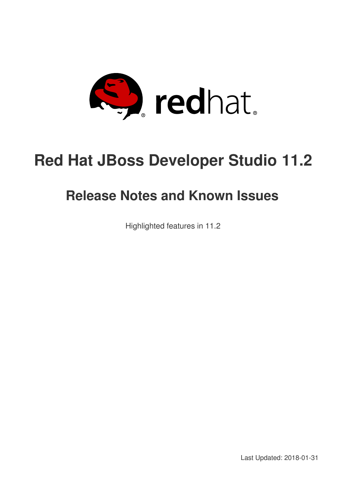

# **Red Hat JBoss Developer Studio 11.2**

# **Release Notes and Known Issues**

Highlighted features in 11.2

Last Updated: 2018-01-31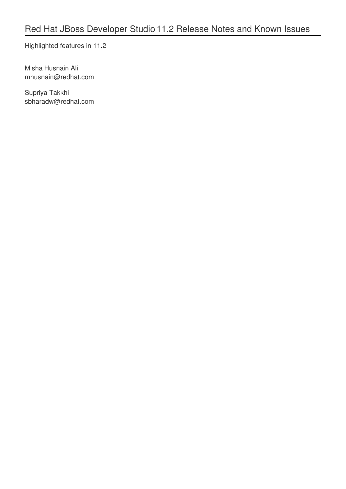Highlighted features in 11.2

Misha Husnain Ali mhusnain@redhat.com

Supriya Takkhi sbharadw@redhat.com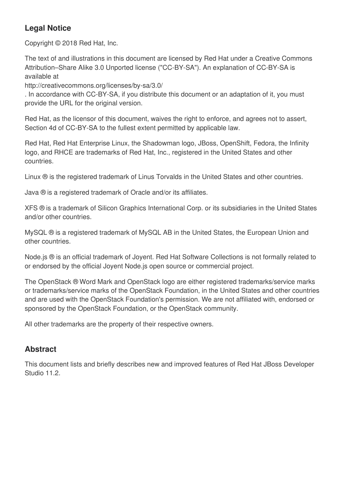### **Legal Notice**

Copyright © 2018 Red Hat, Inc.

The text of and illustrations in this document are licensed by Red Hat under a Creative Commons Attribution–Share Alike 3.0 Unported license ("CC-BY-SA"). An explanation of CC-BY-SA is available at

http://creativecommons.org/licenses/by-sa/3.0/

. In accordance with CC-BY-SA, if you distribute this document or an adaptation of it, you must provide the URL for the original version.

Red Hat, as the licensor of this document, waives the right to enforce, and agrees not to assert, Section 4d of CC-BY-SA to the fullest extent permitted by applicable law.

Red Hat, Red Hat Enterprise Linux, the Shadowman logo, JBoss, OpenShift, Fedora, the Infinity logo, and RHCE are trademarks of Red Hat, Inc., registered in the United States and other countries.

Linux ® is the registered trademark of Linus Torvalds in the United States and other countries.

Java ® is a registered trademark of Oracle and/or its affiliates.

XFS ® is a trademark of Silicon Graphics International Corp. or its subsidiaries in the United States and/or other countries.

MySQL ® is a registered trademark of MySQL AB in the United States, the European Union and other countries.

Node.js ® is an official trademark of Joyent. Red Hat Software Collections is not formally related to or endorsed by the official Joyent Node.js open source or commercial project.

The OpenStack ® Word Mark and OpenStack logo are either registered trademarks/service marks or trademarks/service marks of the OpenStack Foundation, in the United States and other countries and are used with the OpenStack Foundation's permission. We are not affiliated with, endorsed or sponsored by the OpenStack Foundation, or the OpenStack community.

All other trademarks are the property of their respective owners.

### **Abstract**

This document lists and briefly describes new and improved features of Red Hat JBoss Developer Studio 11.2.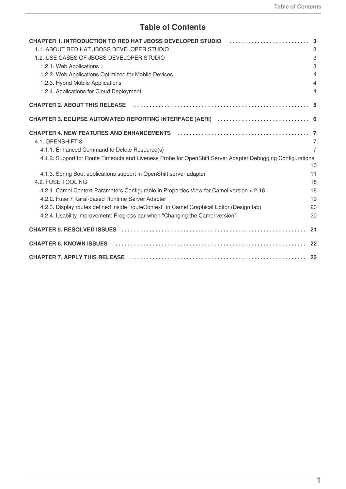### **Table of Contents**

| <b>CHAPTER 1. INTRODUCTION TO RED HAT JBOSS DEVELOPER STUDIO</b>                                               |    |
|----------------------------------------------------------------------------------------------------------------|----|
| 1.1. ABOUT RED HAT JBOSS DEVELOPER STUDIO                                                                      |    |
| 1.2. USE CASES OF JBOSS DEVELOPER STUDIO                                                                       |    |
| 1.2.1. Web Applications                                                                                        |    |
| 1.2.2. Web Applications Optimized for Mobile Devices                                                           |    |
| 1.2.3. Hybrid Mobile Applications                                                                              |    |
| 1.2.4. Applications for Cloud Deployment                                                                       |    |
| <b>CHAPTER 2. ABOUT THIS RELEASE</b>                                                                           |    |
|                                                                                                                |    |
|                                                                                                                |    |
| 4.1. OPENSHIFT 3                                                                                               |    |
| 4.1.1. Enhanced Command to Delete Resource(s)                                                                  |    |
| 4.1.2. Support for Route Timeouts and Liveness Probe for OpenShift Server Adapter Debugging Configurations     |    |
|                                                                                                                |    |
| 4.1.3. Spring Boot applications support in OpenShift server adapter                                            |    |
| 4.2. FUSE TOOLING                                                                                              |    |
| 4.2.1. Camel Context Parameters Configurable in Properties View for Camel version < 2.18                       |    |
| 4.2.2. Fuse 7 Karaf-based Runtime Server Adapter                                                               |    |
| 4.2.3. Display routes defined inside "routeContext" in Camel Graphical Editor (Design tab)                     |    |
| 4.2.4. Usability improvement: Progress bar when "Changing the Camel version"                                   | 20 |
|                                                                                                                |    |
| <b>CHAPTER 6. KNOWN ISSUES</b>                                                                                 |    |
| CHAPTER 7. APPLY THIS RELEASE (and according to the control of the control of the control of the control of th |    |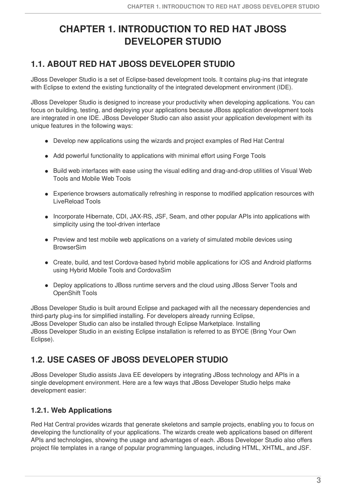# <span id="page-6-0"></span>**CHAPTER 1. INTRODUCTION TO RED HAT JBOSS DEVELOPER STUDIO**

## <span id="page-6-1"></span>**1.1. ABOUT RED HAT JBOSS DEVELOPER STUDIO**

JBoss Developer Studio is a set of Eclipse-based development tools. It contains plug-ins that integrate with Eclipse to extend the existing functionality of the integrated development environment (IDE).

JBoss Developer Studio is designed to increase your productivity when developing applications. You can focus on building, testing, and deploying your applications because JBoss application development tools are integrated in one IDE. JBoss Developer Studio can also assist your application development with its unique features in the following ways:

- Develop new applications using the wizards and project examples of Red Hat Central
- Add powerful functionality to applications with minimal effort using Forge Tools
- Build web interfaces with ease using the visual editing and drag-and-drop utilities of Visual Web Tools and Mobile Web Tools
- Experience browsers automatically refreshing in response to modified application resources with LiveReload Tools
- Incorporate Hibernate, CDI, JAX-RS, JSF, Seam, and other popular APIs into applications with simplicity using the tool-driven interface
- Preview and test mobile web applications on a variety of simulated mobile devices using **BrowserSim**
- Create, build, and test Cordova-based hybrid mobile applications for iOS and Android platforms using Hybrid Mobile Tools and CordovaSim
- Deploy applications to JBoss runtime servers and the cloud using JBoss Server Tools and OpenShift Tools

JBoss Developer Studio is built around Eclipse and packaged with all the necessary dependencies and third-party plug-ins for simplified installing. For developers already running Eclipse, JBoss Developer Studio can also be installed through Eclipse Marketplace. Installing JBoss Developer Studio in an existing Eclipse installation is referred to as BYOE (Bring Your Own Eclipse).

# <span id="page-6-2"></span>**1.2. USE CASES OF JBOSS DEVELOPER STUDIO**

JBoss Developer Studio assists Java EE developers by integrating JBoss technology and APIs in a single development environment. Here are a few ways that JBoss Developer Studio helps make development easier:

#### <span id="page-6-3"></span>**1.2.1. Web Applications**

Red Hat Central provides wizards that generate skeletons and sample projects, enabling you to focus on developing the functionality of your applications. The wizards create web applications based on different APIs and technologies, showing the usage and advantages of each. JBoss Developer Studio also offers project file templates in a range of popular programming languages, including HTML, XHTML, and JSF.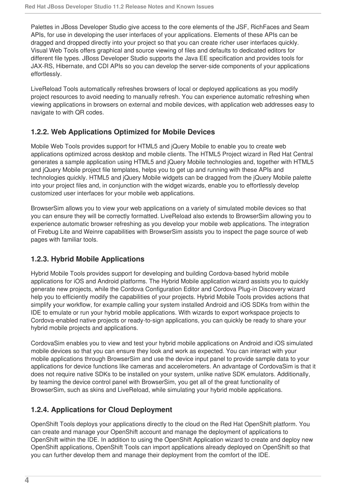Palettes in JBoss Developer Studio give access to the core elements of the JSF, RichFaces and Seam APIs, for use in developing the user interfaces of your applications. Elements of these APIs can be dragged and dropped directly into your project so that you can create richer user interfaces quickly. Visual Web Tools offers graphical and source viewing of files and defaults to dedicated editors for different file types. JBoss Developer Studio supports the Java EE specification and provides tools for JAX-RS, Hibernate, and CDI APIs so you can develop the server-side components of your applications effortlessly.

LiveReload Tools automatically refreshes browsers of local or deployed applications as you modify project resources to avoid needing to manually refresh. You can experience automatic refreshing when viewing applications in browsers on external and mobile devices, with application web addresses easy to navigate to with QR codes.

#### <span id="page-7-0"></span>**1.2.2. Web Applications Optimized for Mobile Devices**

Mobile Web Tools provides support for HTML5 and jQuery Mobile to enable you to create web applications optimized across desktop and mobile clients. The HTML5 Project wizard in Red Hat Central generates a sample application using HTML5 and jQuery Mobile technologies and, together with HTML5 and jQuery Mobile project file templates, helps you to get up and running with these APIs and technologies quickly. HTML5 and jQuery Mobile widgets can be dragged from the jQuery Mobile palette into your project files and, in conjunction with the widget wizards, enable you to effortlessly develop customized user interfaces for your mobile web applications.

BrowserSim allows you to view your web applications on a variety of simulated mobile devices so that you can ensure they will be correctly formatted. LiveReload also extends to BrowserSim allowing you to experience automatic browser refreshing as you develop your mobile web applications. The integration of Firebug Lite and Weinre capabilities with BrowserSim assists you to inspect the page source of web pages with familiar tools.

### <span id="page-7-1"></span>**1.2.3. Hybrid Mobile Applications**

Hybrid Mobile Tools provides support for developing and building Cordova-based hybrid mobile applications for iOS and Android platforms. The Hybrid Mobile application wizard assists you to quickly generate new projects, while the Cordova Configuration Editor and Cordova Plug-in Discovery wizard help you to efficiently modify the capabilities of your projects. Hybrid Mobile Tools provides actions that simplify your workflow, for example calling your system installed Android and iOS SDKs from within the IDE to emulate or run your hybrid mobile applications. With wizards to export workspace projects to Cordova-enabled native projects or ready-to-sign applications, you can quickly be ready to share your hybrid mobile projects and applications.

CordovaSim enables you to view and test your hybrid mobile applications on Android and iOS simulated mobile devices so that you can ensure they look and work as expected. You can interact with your mobile applications through BrowserSim and use the device input panel to provide sample data to your applications for device functions like cameras and accelerometers. An advantage of CordovaSim is that it does not require native SDKs to be installed on your system, unlike native SDK emulators. Additionally, by teaming the device control panel with BrowserSim, you get all of the great functionality of BrowserSim, such as skins and LiveReload, while simulating your hybrid mobile applications.

### <span id="page-7-2"></span>**1.2.4. Applications for Cloud Deployment**

OpenShift Tools deploys your applications directly to the cloud on the Red Hat OpenShift platform. You can create and manage your OpenShift account and manage the deployment of applications to OpenShift within the IDE. In addition to using the OpenShift Application wizard to create and deploy new OpenShift applications, OpenShift Tools can import applications already deployed on OpenShift so that you can further develop them and manage their deployment from the comfort of the IDE.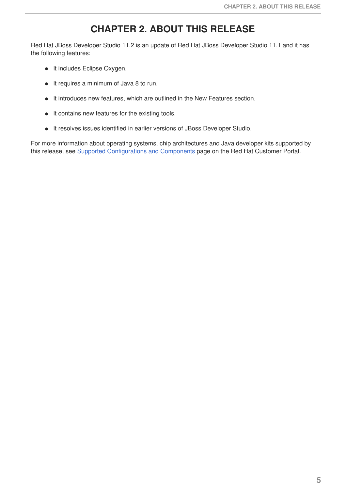# **CHAPTER 2. ABOUT THIS RELEASE**

<span id="page-8-0"></span>Red Hat JBoss Developer Studio 11.2 is an update of Red Hat JBoss Developer Studio 11.1 and it has the following features:

- It includes Eclipse Oxygen.
- It requires a minimum of Java 8 to run.
- $\bullet$  It introduces new features, which are outlined in the New Features section.
- $\bullet$  It contains new features for the existing tools.
- It resolves issues identified in earlier versions of JBoss Developer Studio.

For more information about operating systems, chip architectures and Java developer kits supported by this release, see Supported [Configurations](https://access.redhat.com/documentation/en-us/red_hat_jboss_developer_studio/11.1/html/supported_configurations_and_components/) and Components page on the Red Hat Customer Portal.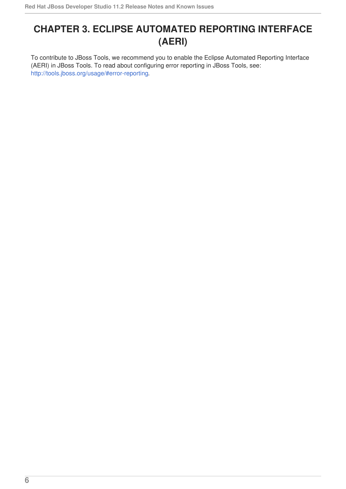# <span id="page-9-0"></span>**CHAPTER 3. ECLIPSE AUTOMATED REPORTING INTERFACE (AERI)**

To contribute to JBoss Tools, we recommend you to enable the Eclipse Automated Reporting Interface (AERI) in JBoss Tools. To read about configuring error reporting in JBoss Tools, see: [http://tools.jboss.org/usage/#error-reporting.](http://tools.jboss.org/usage/#error-reporting)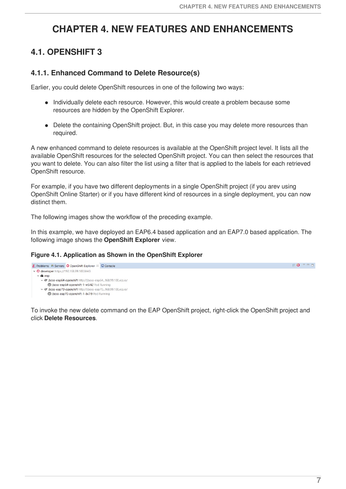# <span id="page-10-0"></span>**CHAPTER 4. NEW FEATURES AND ENHANCEMENTS**

# <span id="page-10-1"></span>**4.1. OPENSHIFT 3**

#### <span id="page-10-2"></span>**4.1.1. Enhanced Command to Delete Resource(s)**

Earlier, you could delete OpenShift resources in one of the following two ways:

- Individually delete each resource. However, this would create a problem because some resources are hidden by the OpenShift Explorer.
- Delete the containing OpenShift project. But, in this case you may delete more resources than required.

A new enhanced command to delete resources is available at the OpenShift project level. It lists all the available OpenShift resources for the selected OpenShift project. You can then select the resources that you want to delete. You can also filter the list using a filter that is applied to the labels for each retrieved OpenShift resource.

For example, if you have two different deployments in a single OpenShift project (if you arev using OpenShift Online Starter) or if you have different kind of resources in a single deployment, you can now distinct them.

The following images show the workflow of the preceding example.

In this example, we have deployed an EAP6.4 based application and an EAP7.0 based application. The following image shows the **OpenShift Explorer** view.

#### **Figure 4.1. Application as Shown in the OpenShift Explorer**



To invoke the new delete command on the EAP OpenShift project, right-click the OpenShift project and click **Delete Resources**.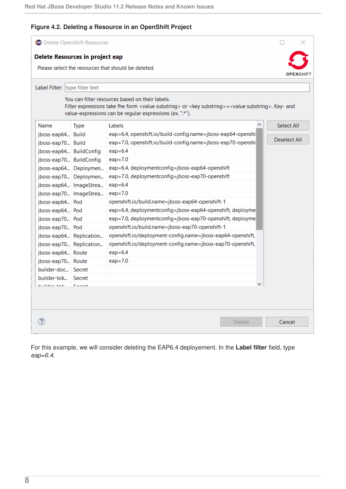#### **Figure 4.2. Deleting a Resource in an OpenShift Project**

| <b>O</b> Delete OpenShift Resources |                        |                                                                                                                                                                                                                                                  |  |                     |
|-------------------------------------|------------------------|--------------------------------------------------------------------------------------------------------------------------------------------------------------------------------------------------------------------------------------------------|--|---------------------|
| Delete Resources in project eap     |                        |                                                                                                                                                                                                                                                  |  |                     |
|                                     |                        | Please select the resources that should be deleted.                                                                                                                                                                                              |  | <b>DPFNSHIF</b>     |
|                                     |                        |                                                                                                                                                                                                                                                  |  |                     |
| Label Filter: type filter text      |                        |                                                                                                                                                                                                                                                  |  |                     |
|                                     |                        | You can filter resources based on their labels.<br>Filter expressions take fhe form <value substring=""> or <key substring="">=<value substring="">. Key- and<br/>value-expressions can be regular expressions (ex. ".*").</value></key></value> |  |                     |
| Name                                | <b>Type</b>            | Labels                                                                                                                                                                                                                                           |  | <b>Select All</b>   |
| jboss-eap64 Build                   |                        | eap=6.4, openshift.io/build-config.name=jboss-eap64-openshi                                                                                                                                                                                      |  |                     |
| jboss-eap70 Build                   |                        | eap=7.0, openshift.io/build-config.name=jboss-eap70-openshi                                                                                                                                                                                      |  | <b>Deselect All</b> |
| jboss-eap64 BuildConfig             |                        | $eap=6.4$                                                                                                                                                                                                                                        |  |                     |
| jboss-eap70 BuildConfig             |                        | $eap = 7.0$                                                                                                                                                                                                                                      |  |                     |
|                                     | jboss-eap64 Deploymen  | eap=6.4, deploymentconfig=jboss-eap64-openshift                                                                                                                                                                                                  |  |                     |
|                                     | jboss-eap70 Deploymen  | eap=7.0, deploymentconfig=jboss-eap70-openshift                                                                                                                                                                                                  |  |                     |
|                                     | jboss-eap64 ImageStrea | $eap=6.4$                                                                                                                                                                                                                                        |  |                     |
|                                     | jboss-eap70 ImageStrea | $eap=7.0$                                                                                                                                                                                                                                        |  |                     |
| jboss-eap64 Pod                     |                        | openshift.io/build.name=jboss-eap64-openshift-1                                                                                                                                                                                                  |  |                     |
| jboss-eap64 Pod                     |                        | eap=6.4, deploymentconfig=jboss-eap64-openshift, deployme                                                                                                                                                                                        |  |                     |
| jboss-eap70 Pod                     |                        | eap=7.0, deploymentconfig=jboss-eap70-openshift, deployme                                                                                                                                                                                        |  |                     |
| jboss-eap70 Pod                     |                        | openshift.io/build.name=jboss-eap70-openshift-1                                                                                                                                                                                                  |  |                     |
| jboss-eap64 Replication             |                        | openshift.io/deployment-config.name=jboss-eap64-openshift,                                                                                                                                                                                       |  |                     |
| jboss-eap70 Replication             |                        | openshift.io/deployment-config.name=jboss-eap70-openshift,                                                                                                                                                                                       |  |                     |
| jboss-eap64 Route                   |                        | $eap=6.4$                                                                                                                                                                                                                                        |  |                     |
| jboss-eap70 Route                   |                        | $eap=7.0$                                                                                                                                                                                                                                        |  |                     |
| builder-doc Secret                  |                        |                                                                                                                                                                                                                                                  |  |                     |
| builder-tok   Secret                |                        |                                                                                                                                                                                                                                                  |  |                     |
| hoilabas tab                        | $C_{mech}$             |                                                                                                                                                                                                                                                  |  |                     |
|                                     |                        |                                                                                                                                                                                                                                                  |  |                     |
|                                     |                        |                                                                                                                                                                                                                                                  |  |                     |
|                                     |                        |                                                                                                                                                                                                                                                  |  |                     |
|                                     |                        | <b>Delete</b>                                                                                                                                                                                                                                    |  | Cancel              |

For this example, we will consider deleting the EAP6.4 deployement. In the **Label filter** field, type *eap=6.4*.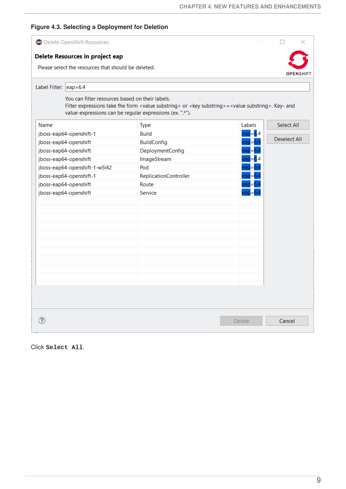#### **Figure 4.3. Selecting a Deployment for Deletion**

|                       | <b>O</b> Delete OpenShift Resources                 |                                                                                                                                                                                                 |               |                     |
|-----------------------|-----------------------------------------------------|-------------------------------------------------------------------------------------------------------------------------------------------------------------------------------------------------|---------------|---------------------|
|                       | Delete Resources in project eap                     |                                                                                                                                                                                                 |               |                     |
|                       | Please select the resources that should be deleted. |                                                                                                                                                                                                 |               | <b>OPENSHIFT</b>    |
| Label Filter: eap=6.4 |                                                     |                                                                                                                                                                                                 |               |                     |
|                       | You can filter resources based on their labels.     | Filter expressions take fhe form <value substring=""> or <key substring=""> = <value substring="">. Key- and<br/>value-expressions can be regular expressions (ex. ".*").</value></key></value> |               |                     |
| Name                  |                                                     | <b>Type</b>                                                                                                                                                                                     | Labels        | <b>Select All</b>   |
|                       | jboss-eap64-openshift-1                             | <b>Build</b>                                                                                                                                                                                    | $eap = 6.4$   |                     |
|                       | jboss-eap64-openshift                               | <b>BuildConfig</b>                                                                                                                                                                              | eap=6.4       | <b>Deselect All</b> |
|                       | jboss-eap64-openshift                               | DeploymentConfig                                                                                                                                                                                | eap=6.4       |                     |
|                       | jboss-eap64-openshift                               | ImageStream                                                                                                                                                                                     | $e$ ap=6.4    |                     |
|                       | jboss-eap64-openshift-1-w5l42                       | Pod                                                                                                                                                                                             | $eap = 6.4$   |                     |
|                       | jboss-eap64-openshift-1                             | ReplicationController                                                                                                                                                                           | eap=6.4       |                     |
|                       | jboss-eap64-openshift                               | Route                                                                                                                                                                                           | eap           |                     |
|                       | jboss-eap64-openshift                               | Service                                                                                                                                                                                         |               |                     |
|                       |                                                     |                                                                                                                                                                                                 |               |                     |
|                       |                                                     |                                                                                                                                                                                                 |               |                     |
|                       |                                                     |                                                                                                                                                                                                 |               |                     |
|                       |                                                     |                                                                                                                                                                                                 |               |                     |
|                       |                                                     |                                                                                                                                                                                                 |               |                     |
|                       |                                                     |                                                                                                                                                                                                 |               |                     |
|                       |                                                     |                                                                                                                                                                                                 |               |                     |
|                       |                                                     |                                                                                                                                                                                                 |               |                     |
|                       |                                                     |                                                                                                                                                                                                 |               |                     |
|                       |                                                     |                                                                                                                                                                                                 |               |                     |
|                       |                                                     |                                                                                                                                                                                                 |               |                     |
|                       |                                                     |                                                                                                                                                                                                 |               |                     |
|                       |                                                     |                                                                                                                                                                                                 | <b>Delete</b> | Cancel              |

Click **Select All**.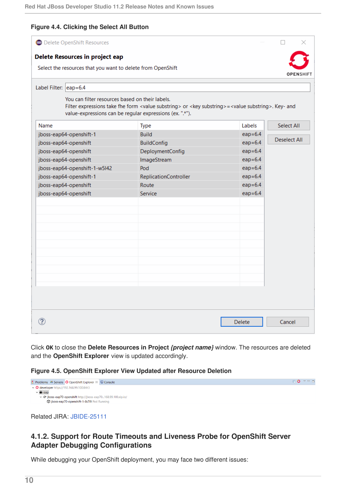#### **Figure 4.4. Clicking the Select All Button**

| <b>O</b> Delete OpenShift Resources                                                            |                                                                                                                                                                                                 |               |                     |
|------------------------------------------------------------------------------------------------|-------------------------------------------------------------------------------------------------------------------------------------------------------------------------------------------------|---------------|---------------------|
| Delete Resources in project eap<br>Select the resources that you want to delete from OpenShift |                                                                                                                                                                                                 |               | <b>OPENSHIFT</b>    |
| Label Filter: eap=6.4                                                                          |                                                                                                                                                                                                 |               |                     |
| You can filter resources based on their labels.                                                | Filter expressions take fhe form <value substring=""> or <key substring=""> = <value substring="">. Key- and<br/>value-expressions can be regular expressions (ex. ".*").</value></key></value> |               |                     |
| Name                                                                                           | <b>Type</b>                                                                                                                                                                                     | <b>Labels</b> | Select All          |
| jboss-eap64-openshift-1                                                                        | <b>Build</b>                                                                                                                                                                                    | $eap=6.4$     |                     |
| jboss-eap64-openshift                                                                          | <b>BuildConfig</b>                                                                                                                                                                              | $eap = 6.4$   | <b>Deselect All</b> |
| jboss-eap64-openshift                                                                          | DeploymentConfig                                                                                                                                                                                | $eap=6.4$     |                     |
| jboss-eap64-openshift                                                                          | ImageStream                                                                                                                                                                                     | $eap=6.4$     |                     |
| jboss-eap64-openshift-1-w5l42                                                                  | Pod                                                                                                                                                                                             | $eap=6.4$     |                     |
| jboss-eap64-openshift-1                                                                        | ReplicationController                                                                                                                                                                           | $eap = 6.4$   |                     |
| jboss-eap64-openshift                                                                          | Route                                                                                                                                                                                           | $eap=6.4$     |                     |
| jboss-eap64-openshift                                                                          | Service                                                                                                                                                                                         | $eap = 6.4$   |                     |
|                                                                                                |                                                                                                                                                                                                 |               |                     |
|                                                                                                |                                                                                                                                                                                                 |               |                     |
|                                                                                                |                                                                                                                                                                                                 |               |                     |
|                                                                                                |                                                                                                                                                                                                 |               |                     |
|                                                                                                |                                                                                                                                                                                                 |               |                     |
|                                                                                                |                                                                                                                                                                                                 |               |                     |
|                                                                                                |                                                                                                                                                                                                 |               |                     |
|                                                                                                |                                                                                                                                                                                                 |               |                     |
|                                                                                                |                                                                                                                                                                                                 |               |                     |
|                                                                                                |                                                                                                                                                                                                 |               |                     |
|                                                                                                |                                                                                                                                                                                                 |               |                     |
|                                                                                                |                                                                                                                                                                                                 |               |                     |
|                                                                                                |                                                                                                                                                                                                 | <b>Delete</b> | Cancel              |

Click **OK** to close the **Delete Resources in Project** *{project name}* window. The resources are deleted and the **OpenShift Explorer** view is updated accordingly.

#### **Figure 4.5. OpenShift Explorer View Updated after Resource Deletion**

| ■ Problems =<br>※ Servers   ● OpenShift Explorer ※ ■ Console   | <b>DO</b> YPE |
|----------------------------------------------------------------|---------------|
| $\sim$ G developer https://192.168.99.100:8443                 |               |
| $\vee$ in eap                                                  |               |
| v @ jboss-eap70-openshift http://jboss-eap70168.99.100.xip.io/ |               |
| the iboss-eap70-openshift-1-8v7l9 Pod Running                  |               |
|                                                                |               |

Related JIRA: [JBIDE-25111](https://issues.jboss.org/browse/JBIDE-25111)

#### <span id="page-13-0"></span>**4.1.2. Support for Route Timeouts and Liveness Probe for OpenShift Server Adapter Debugging Configurations**

While debugging your OpenShift deployment, you may face two different issues: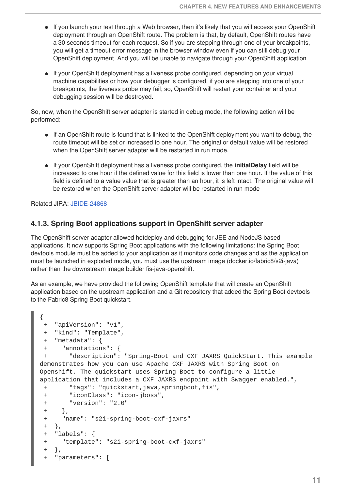- If you launch your test through a Web browser, then it's likely that you will access your OpenShift deployment through an OpenShift route. The problem is that, by default, OpenShift routes have a 30 seconds timeout for each request. So if you are stepping through one of your breakpoints, you will get a timeout error message in the browser window even if you can still debug your OpenShift deployment. And you will be unable to navigate through your OpenShift application.
- If your OpenShift deployment has a liveness probe configured, depending on your virtual machine capabilities or how your debugger is configured, if you are stepping into one of your breakpoints, the liveness probe may fail; so, OpenShift will restart your container and your debugging session will be destroyed.

So, now, when the OpenShift server adapter is started in debug mode, the following action will be performed:

- If an OpenShift route is found that is linked to the OpenShift deployment you want to debug, the route timeout will be set or increased to one hour. The original or default value will be restored when the OpenShift server adapter will be restarted in run mode.
- If your OpenShift deployment has a liveness probe configured, the **initialDelay** field will be increased to one hour if the defined value for this field is lower than one hour. If the value of this field is defined to a value value that is greater than an hour, it is left intact. The original value will be restored when the OpenShift server adapter will be restarted in run mode

Related JIRA: [JBIDE-24868](https://issues.jboss.org/browse/JBIDE-24868)

#### <span id="page-14-0"></span>**4.1.3. Spring Boot applications support in OpenShift server adapter**

The OpenShift server adapter allowed hotdeploy and debugging for JEE and NodeJS based applications. It now supports Spring Boot applications with the following limitations: the Spring Boot devtools module must be added to your application as it monitors code changes and as the application must be launched in exploded mode, you must use the upstream image (docker.io/fabric8/s2i-java) rather than the downstream image builder fis-java-openshift.

As an example, we have provided the following OpenShift template that will create an OpenShift application based on the upstream application and a Git repository that added the Spring Boot devtools to the Fabric8 Spring Boot quickstart.

```
{
 + "apiVersion": "v1",
+ "kind": "Template",
+ "metadata": {
+ "annotations": {
+ "description": "Spring-Boot and CXF JAXRS QuickStart. This example
demonstrates how you can use Apache CXF JAXRS with Spring Boot on
Openshift. The quickstart uses Spring Boot to configure a little
application that includes a CXF JAXRS endpoint with Swagger enabled.",
+ "tags": "quickstart,java,springboot,fis",
+ "iconClass": "icon-jboss",
+ "version": "2.0"
+ },
+ "name": "s2i-spring-boot-cxf-jaxrs"
+ },
+ "labels": {
 + "template": "s2i-spring-boot-cxf-jaxrs"
 +"parameters": [
```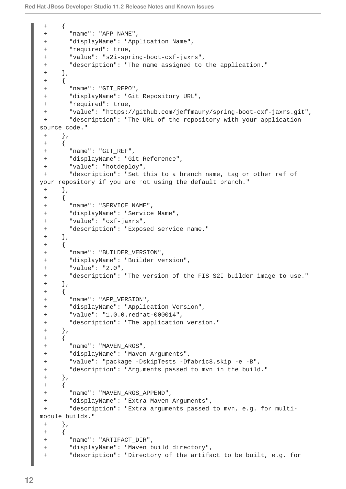```
\{ \}+ "name": "APP_NAME",
 + "displayName": "Application Name",
 + "required": true,
 + "value": "s2i-spring-boot-cxf-jaxrs",
 + "description": "The name assigned to the application."
+ },
+ {
 + "name": "GIT_REPO",
 + "displayName": "Git Repository URL",
 + "required": true,
 + "value": "https://github.com/jeffmaury/spring-boot-cxf-jaxrs.git",
+ "description": "The URL of the repository with your application
source code."
+ },
+ {
+ "name": "GIT_REF",
 + "displayName": "Git Reference",
 + "value": "hotdeploy",
+ "description": "Set this to a branch name, tag or other ref of
your repository if you are not using the default branch."
+ },
+ {
+ "name": "SERVICE_NAME",
 + "displayName": "Service Name",
 + "value": "cxf-jaxrs",
 + "description": "Exposed service name."
 + },
+ {
+ "name": "BUILDER_VERSION",
 + "displayName": "Builder version",
 + "value": "2.0",
 + "description": "The version of the FIS S2I builder image to use."
 + },
+ {
+ "name": "APP_VERSION",
 + "displayName": "Application Version",
 + "value": "1.0.0.redhat-000014",
 + "description": "The application version."
+ },
+ {
+ "name": "MAVEN_ARGS",
 + "displayName": "Maven Arguments",
 + "value": "package -DskipTests -Dfabric8.skip -e -B",
+ "description": "Arguments passed to mvn in the build."
+ },
+ {
 + "name": "MAVEN_ARGS_APPEND",
+ "displayName": "Extra Maven Arguments",
+ "description": "Extra arguments passed to mvn, e.g. for multi-
module builds."
+ },
++ "name": "ARTIFACT_DIR",
+ "displayName": "Maven build directory",
 + "description": "Directory of the artifact to be built, e.g. for
```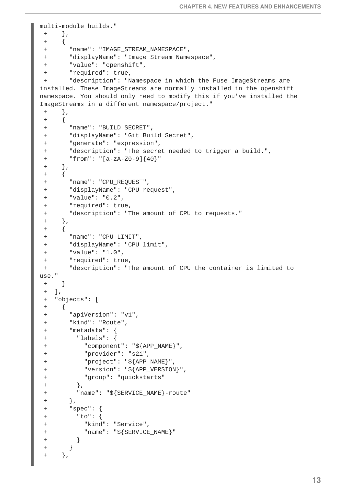```
multi-module builds."
+ },
+ {
+ "name": "IMAGE_STREAM_NAMESPACE",
 + "displayName": "Image Stream Namespace",
 + "value": "openshift",
+ "required": true,
+ "description": "Namespace in which the Fuse ImageStreams are
installed. These ImageStreams are normally installed in the openshift
namespace. You should only need to modify this if you've installed the
ImageStreams in a different namespace/project."
+ },
+ {
+ "name": "BUILD_SECRET",
 + "displayName": "Git Build Secret",
 + "generate": "expression",
 + "description": "The secret needed to trigger a build.",
 + "from": "[a-zA-Z0-9]{40}"
+ },
+ {
+ "name": "CPU_REQUEST",
 + "displayName": "CPU request",
 + "value": "0.2",
 + "required": true,
+ "description": "The amount of CPU to requests."
+ \},
+ {
 + "name": "CPU_LIMIT",
 + "displayName": "CPU limit",
+ "value": "1.0",
 + "required": true,
+ "description": "The amount of CPU the container is limited to
use."
+ }
+ ],
+ "objects": [
+ {
+ "apiVersion": "v1",
 + "kind": "Route",
 + "metadata": {
 + "labels": {
 + "component": "${APP_NAME}",
 + "provider": "s2i",
 + "project": "${APP_NAME}",
+ "version": "${APP_VERSION}",
+ "group": "quickstarts"
+ },
 + "name": "${SERVICE_NAME}-route"
 + },
+ "spec": {
+ "to": {
+ "kind": "Service",
 + "name": "${SERVICE_NAME}"
 + }
+ }
+ },
```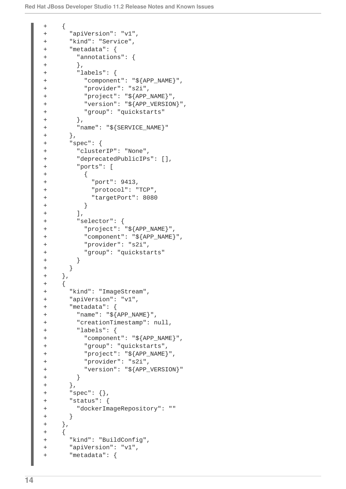```
+ {
+ "apiVersion": "v1",
+ "kind": "Service",
+ "metadata": {
+ "annotations": {
+ },
+ "labels": {
+ "component": "${APP_NAME}",
+ "provider": "s2i",
+ "project": "${APP_NAME}",
+ "version": "${APP_VERSION}",
+ "group": "quickstarts"
+ },
+ "name": "${SERVICE_NAME}"
+ },
+ "spec": {
+ "clusterIP": "None",
+ "deprecatedPublicIPs": [],
+ "ports": [
+ {
+ "port": 9413,
+ "protocol": "TCP",
+ "targetPort": 8080
+ }
+ ],
+ "selector": {
+ "project": "${APP_NAME}",
+ "component": "${APP_NAME}",
+ "provider": "s2i",
+ "group": "quickstarts"
+ }
+ }
+ },
+ {
+ "kind": "ImageStream",
+ "apiVersion": "v1",
+ "metadata": {
+ "name": "${APP_NAME}",
+ "creationTimestamp": null,
+ "labels": {
+ "component": "${APP_NAME}",
+ "group": "quickstarts",
+ "project": "${APP_NAME}",
+ "provider": "s2i",
+ "version": "${APP_VERSION}"
+ }
+ },
+ "spec": {},
+ "status": {
+ "dockerImageRepository": ""
+ }
+ },
+ {
+ "kind": "BuildConfig",
+ "apiVersion": "v1",
+ "metadata": {
```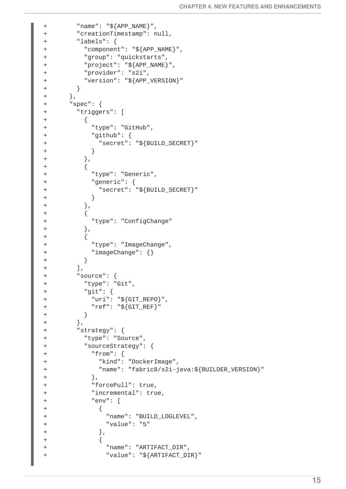```
+ "name": "${APP_NAME}",
+ "creationTimestamp": null,
+ "labels": {
+ "component": "${APP_NAME}",
+ "group": "quickstarts",
+ "project": "${APP_NAME}",
+ "provider": "s2i",
+ "version": "${APP_VERSION}"
+ }
+ },
+ "spec": {
+ "triggers": [
+ {
+ "type": "GitHub",
+ "github": {
+ "secret": "${BUILD_SECRET}"
+ }
+ },
+ {
+ "type": "Generic",
+ "generic": {
+ "secret": "${BUILD_SECRET}"
+ }
+ },
+ {
+ "type": "ConfigChange"
+ },
+ {
+ "type": "ImageChange",
+ "imageChange": {}
+ }
+ ],
+ "source": {
+ "type": "Git",
+ "git": {
+ "uri": "${GIT_REPO}",
+ "ref": "${GIT_REF}"
+ }
+ },
+ "strategy": {
+ "type": "Source",
+ "sourceStrategy": {
+ "from": {
+ "kind": "DockerImage",
+ "name": "fabric8/s2i-java:${BUILDER_VERSION}"
+ },
+ "forcePull": true,
+ "incremental": true,
+ "env": [
+ {
+ "name": "BUILD_LOGLEVEL",
+ "value": "5"
+ },
+ {
+ "name": "ARTIFACT_DIR",
+ "value": "${ARTIFACT_DIR}"
```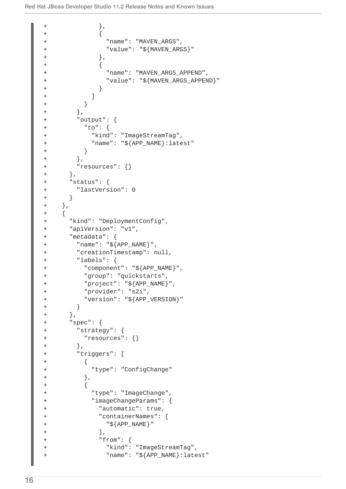```
+ },
+ {
+ "name": "MAVEN_ARGS",
+ "value": "${MAVEN_ARGS}"
+ },
+ {
+ "name": "MAVEN_ARGS_APPEND",
+ "value": "${MAVEN_ARGS_APPEND}"
+ }
+ ]
+ }
+ },
+ "output": {
+ "to": {
+ "kind": "ImageStreamTag",
+ "name": "${APP_NAME}:latest"
+ }
+ },
+ "resources": {}
+ },
+ "status": {
+ "lastVersion": 0
+ }
+ },
+ {
+ "kind": "DeploymentConfig",
+ "apiVersion": "v1",
+ "metadata": {
+ "name": "${APP_NAME}",
+ "creationTimestamp": null,
+ "labels": {
+ "component": "${APP_NAME}",
+ "group": "quickstarts",
+ "project": "${APP_NAME}",
+ "provider": "s2i",
+ "version": "${APP_VERSION}"
+ }
+ },
+ "spec": {
+ "strategy": {
+ "resources": {}
+ },
+ "triggers": [
+ {
+ "type": "ConfigChange"
+ },
+ {
+ "type": "ImageChange",
+ "imageChangeParams": {
+ "automatic": true,
+ "containerNames": [
+ "${APP_NAME}"
+ ],
+ "from": {
+ "kind": "ImageStreamTag",
+ "name": "${APP_NAME}:latest"
```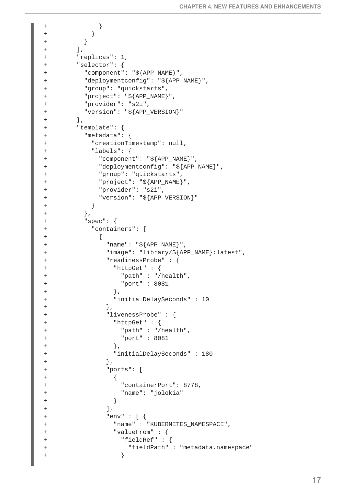```
+ }
+ }
+ }
+ ],
+ "replicas": 1,
+ "selector": {
+ "component": "${APP_NAME}",
+ "deploymentconfig": "${APP_NAME}",
+ "group": "quickstarts",
+ "project": "${APP_NAME}",
+ "provider": "s2i",
+ "version": "${APP_VERSION}"
+ },
+ "template": {
+ "metadata": {
+ "creationTimestamp": null,
+ "labels": {
+ "component": "${APP_NAME}",
+ "deploymentconfig": "${APP_NAME}",
+ "group": "quickstarts",
+ "project": "${APP_NAME}",
+ "provider": "s2i",
+ "version": "${APP_VERSION}"
+ }
+ },
+ "spec": {
+ "containers": [
+ {
+ "name": "${APP_NAME}",
+ "image": "library/${APP_NAME}:latest",
+ "readinessProbe" : {
+ "httpGet" : {
+ "path" : "/health",
+ "port" : 8081
+ },
+ "initialDelaySeconds" : 10
+ },
+ "livenessProbe" : {
+ "httpGet" : {
+ "path" : "/health",
+ "port" : 8081
+ },
+ "initialDelaySeconds" : 180
+ },
+ "ports": [
+ \{+ "containerPort": 8778,
+ "name": "jolokia"
+ }
+ \qquad ],
+ "env" : [ {
+ "name" : "KUBERNETES_NAMESPACE",
+ "valueFrom" : {
+ "fieldRef" : {
+ "fieldPath" : "metadata.namespace"
+ }
```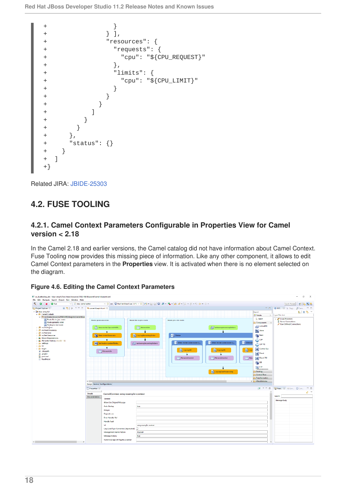```
+ }
+ } ],
+ "resources": {
+ "requests": {
+ "cpu": "${CPU_REQUEST}"
+ },
+ "limits": {
+ "cpu": "${CPU_LIMIT}"
+ }
+ }
+ }
+ ]
+ }
+ }
+ },
+ "status": {}
+ }
+ ]
+}
```
Related JIRA: [JBIDE-25303](https://issues.jboss.org/browse/JBIDE-25303)

# <span id="page-21-0"></span>**4.2. FUSE TOOLING**

#### <span id="page-21-1"></span>**4.2.1. Camel Context Parameters Configurable in Properties View for Camel version < 2.18**

In the Camel 2.18 and earlier versions, the Camel catalog did not have information about Camel Context. Fuse Tooling now provides this missing piece of information. Like any other component, it allows to edit Camel Context parameters in the **Properties** view. It is activated when there is no element selected on the diagram.

| # ws_fusetooling_dev - blue-amg-6.3\src/main/resources/OSGI-INF/blueprint/camel-blueprint.xml<br>Ele Edit Navigate Search Broject Bun Window Help                                                                                                                                                                                                                                                                          |                                                      |                                                                                                                                                       |                                                                                                    |                                                                                                 |                                                                                                                     |                                                 |                                                                                                                                                                                                                                                                  | $\mathcal{O}$<br>$\mathbb{X}$<br>$\overline{\phantom{a}}$                        |
|----------------------------------------------------------------------------------------------------------------------------------------------------------------------------------------------------------------------------------------------------------------------------------------------------------------------------------------------------------------------------------------------------------------------------|------------------------------------------------------|-------------------------------------------------------------------------------------------------------------------------------------------------------|----------------------------------------------------------------------------------------------------|-------------------------------------------------------------------------------------------------|---------------------------------------------------------------------------------------------------------------------|-------------------------------------------------|------------------------------------------------------------------------------------------------------------------------------------------------------------------------------------------------------------------------------------------------------------------|----------------------------------------------------------------------------------|
| 6.<br>$\Omega$<br><b>O</b> Run<br>v il idea-camel-editor<br>×                                                                                                                                                                                                                                                                                                                                                              |                                                      |                                                                                                                                                       |                                                                                                    | ▽ 微 on 日Red Hat Boss Fuse 7.0 Y( ▽ 奈 日) → 国 (前日) 置 ▼ (名 ▼ (の ダ ▼ ) シ ▼ (例 ▼ (中 く) マ の ▼         |                                                                                                                     |                                                 |                                                                                                                                                                                                                                                                  | 證<br><b>B</b> 84 B<br>Quick Access                                               |
| 自然 シャーロ<br>Project Explorer 32                                                                                                                                                                                                                                                                                                                                                                                             | ** camel-blueprint and 22                            |                                                                                                                                                       |                                                                                                    |                                                                                                 |                                                                                                                     |                                                 |                                                                                                                                                                                                                                                                  | □ □ ● MOL. 22 hi Diagn M                                                         |
| ~ 35 blue amg-63<br>v L Camel Contexts                                                                                                                                                                                                                                                                                                                                                                                     |                                                      |                                                                                                                                                       |                                                                                                    |                                                                                                 |                                                                                                                     |                                                 | Search<br><sup>2</sup> Palette<br>D.                                                                                                                                                                                                                             | 風 日気 マ<br>type filter test                                                       |
| v ** se/main/resources/OSG-INF/blueprint/camel-blue<br>Route file-to-jms-route<br><b>Ell</b> Route generate-order<br>Route ims-chr-route<br>> B str/main/java<br>> B sic/main/resources<br>> IM src/test/iava<br>> B stellest/resources<br>> Bi, Maven Dependencies<br>> Big JRE System Library [JavaSE-1.8]<br>> B settings<br>$> 25$ vr.<br>$> 25$ larget<br>in classpath<br>s) .project<br><b>B</b> pomaml<br>ReadMetat | Route generate-order<br>Design Source Configurations | (c) timeraorder?period=600.<br><b>Bean orderGenerator</b><br>٠<br><b>BB</b> SetHeader updateFlieNs.<br>٠<br>filesworklin                              | Route file-to-jers-route<br><b>Thowarkin</b><br>Log logReceiving Order<br>activem g:IncomingOrders | Route jms-chr-route<br>$-4$ Choice<br>When lorder:order/ordersc<br>Log log UK<br>Meavorkloutisk | activem gincomingOrders<br>When forder:order/ordersc<br>Log logUS<br>file work/outlus<br>F.<br>Log logCndProcessing | Otheral<br>$\frac{1}{2}$ Log<br>1 <sub>10</sub> | <b>Solect</b><br><b>Components</b><br>ActiveMO<br>$\sum$ Mom<br><sup>Bean</sup><br>ெ<br><b>COPRS</b><br>S Control Bus<br>$2$ Direct<br>O Direct VM<br>$\sum_{i=1}^{n}$<br>$m$ FIP<br><b>Bouting</b><br>Cantrol Flow<br><b>Itemformation</b><br>> C-Miscellaneous | all Local Processes<br><b>B</b> Server Connections<br>/ User-Defined Connections |
|                                                                                                                                                                                                                                                                                                                                                                                                                            | Properties 33                                        |                                                                                                                                                       |                                                                                                    |                                                                                                 |                                                                                                                     |                                                 | 試験の日                                                                                                                                                                                                                                                             | Ni Messa, 22 98 Service Cliconia<br>- - -                                        |
|                                                                                                                                                                                                                                                                                                                                                                                                                            |                                                      |                                                                                                                                                       |                                                                                                    |                                                                                                 |                                                                                                                     |                                                 |                                                                                                                                                                                                                                                                  | து                                                                               |
|                                                                                                                                                                                                                                                                                                                                                                                                                            | Details.<br>Documentation                            | CamelContext amq-example-context<br>General<br><b>Allow Use Original Message</b><br><b>Auto Startup</b><br>Delayer<br>Depends-on<br>Error Handler Ref | true                                                                                               |                                                                                                 |                                                                                                                     |                                                 |                                                                                                                                                                                                                                                                  | Search<br>Message Body                                                           |
| $\leq$                                                                                                                                                                                                                                                                                                                                                                                                                     |                                                      | Handle Fault<br>Id<br>Lazy Load Type Converters (deprecated)<br>Management Name Pattern<br>Message History<br>Runtime Endpoint Registry Enabled       | amq-ioample-context<br>п<br>Aname#<br>true                                                         |                                                                                                 |                                                                                                                     |                                                 | $\mathbf{v}$                                                                                                                                                                                                                                                     |                                                                                  |

**Figure 4.6. Editing the Camel Context Parameters**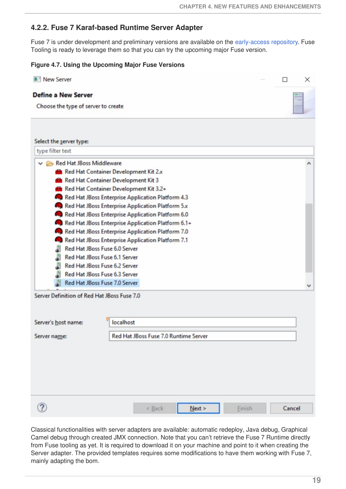#### <span id="page-22-0"></span>**4.2.2. Fuse 7 Karaf-based Runtime Server Adapter**

Fuse 7 is under development and preliminary versions are available on the [early-access](http://origin-repository.jboss.org/nexus/content/groups/ea/org/jboss/fuse/jboss-fuse-karaf/) repository. Fuse Tooling is ready to leverage them so that you can try the upcoming major Fuse version.

#### **Figure 4.7. Using the Upcoming Major Fuse Versions**

| New Server                                         |                                       |        |        |               |  | ×      |
|----------------------------------------------------|---------------------------------------|--------|--------|---------------|--|--------|
| <b>Define a New Server</b>                         |                                       |        |        |               |  |        |
| Choose the type of server to create                |                                       |        |        |               |  |        |
|                                                    |                                       |        |        |               |  |        |
|                                                    |                                       |        |        |               |  |        |
| Select the server type:<br>type filter text        |                                       |        |        |               |  |        |
| Red Hat JBoss Middleware                           |                                       |        |        |               |  |        |
| Red Hat Container Development Kit 2.x              |                                       |        |        |               |  |        |
| Red Hat Container Development Kit 3                |                                       |        |        |               |  |        |
| Red Hat Container Development Kit 3.2+             |                                       |        |        |               |  |        |
| Red Hat JBoss Enterprise Application Platform 4.3  |                                       |        |        |               |  |        |
| Red Hat JBoss Enterprise Application Platform 5.x  |                                       |        |        |               |  |        |
| Red Hat JBoss Enterprise Application Platform 6.0  |                                       |        |        |               |  |        |
| Red Hat JBoss Enterprise Application Platform 6.1+ |                                       |        |        |               |  |        |
| Red Hat JBoss Enterprise Application Platform 7.0  |                                       |        |        |               |  |        |
| Red Hat JBoss Enterprise Application Platform 7.1  |                                       |        |        |               |  |        |
| Red Hat JBoss Fuse 6.0 Server<br>j                 |                                       |        |        |               |  |        |
| J<br>Red Hat JBoss Fuse 6.1 Server                 |                                       |        |        |               |  |        |
| J<br>Red Hat JBoss Fuse 6.2 Server                 |                                       |        |        |               |  |        |
| å<br>Red Hat JBoss Fuse 6.3 Server                 |                                       |        |        |               |  |        |
| Red Hat JBoss Fuse 7.0 Server<br>đ                 |                                       |        |        |               |  |        |
| Server Definition of Red Hat JBoss Fuse 7.0        |                                       |        |        |               |  |        |
|                                                    |                                       |        |        |               |  |        |
|                                                    |                                       |        |        |               |  |        |
| Server's host name:                                | localhost                             |        |        |               |  |        |
| Server name:                                       | Red Hat JBoss Fuse 7.0 Runtime Server |        |        |               |  |        |
|                                                    |                                       |        |        |               |  |        |
|                                                    |                                       |        |        |               |  |        |
|                                                    |                                       |        |        |               |  |        |
|                                                    |                                       |        |        |               |  |        |
|                                                    |                                       |        |        |               |  |        |
|                                                    |                                       |        |        |               |  |        |
|                                                    |                                       | < Back | Next > | <b>Finish</b> |  | Cancel |
|                                                    |                                       |        |        |               |  |        |

Classical functionalities with server adapters are available: automatic redeploy, Java debug, Graphical Camel debug through created JMX connection. Note that you can't retrieve the Fuse 7 Runtime directly from Fuse tooling as yet. It is required to download it on your machine and point to it when creating the Server adapter. The provided templates requires some modifications to have them working with Fuse 7, mainly adapting the bom.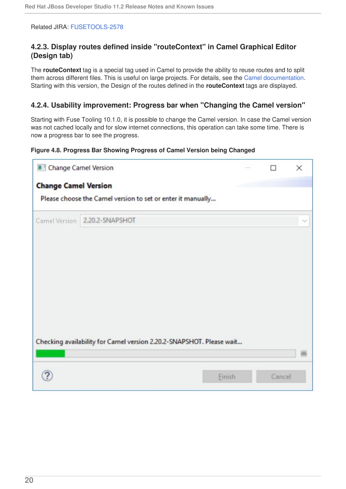#### Related JIRA: [FUSETOOLS-2578](https://issues.jboss.org/browse/FUSETOOLS-2578)

#### <span id="page-23-0"></span>**4.2.3. Display routes defined inside "routeContext" in Camel Graphical Editor (Design tab)**

The **routeContext** tag is a special tag used in Camel to provide the ability to reuse routes and to split them across different files. This is useful on large projects. For details, see the Camel [documentation.](http://camel.apache.org/how-do-i-import-routes-from-other-xml-files.html) Starting with this version, the Design of the routes defined in the **routeContext** tags are displayed.

#### <span id="page-23-1"></span>**4.2.4. Usability improvement: Progress bar when "Changing the Camel version"**

Starting with Fuse Tooling 10.1.0, it is possible to change the Camel version. In case the Camel version was not cached locally and for slow internet connections, this operation can take some time. There is now a progress bar to see the progress.

#### **Figure 4.8. Progress Bar Showing Progress of Camel Version being Changed**

| Change Camel Version        |                                                                      |        | × |
|-----------------------------|----------------------------------------------------------------------|--------|---|
| <b>Change Camel Version</b> |                                                                      |        |   |
|                             | Please choose the Camel version to set or enter it manually          |        |   |
|                             | Camel Version 2.20.2-SNAPSHOT                                        |        |   |
|                             |                                                                      |        |   |
|                             |                                                                      |        |   |
|                             |                                                                      |        |   |
|                             |                                                                      |        |   |
|                             |                                                                      |        |   |
|                             | Checking availability for Camel version 2.20.2-SNAPSHOT. Please wait |        |   |
|                             |                                                                      |        |   |
|                             | <b>Finish</b>                                                        | Cancel |   |
|                             |                                                                      |        |   |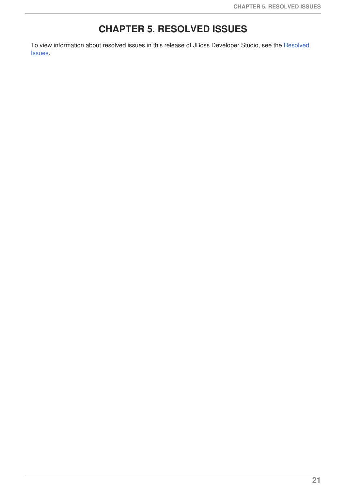# **CHAPTER 5. RESOLVED ISSUES**

<span id="page-24-0"></span>To view [information](https://issues.jboss.org/browse/JBIDE-25600?jql=(project in (JBDS) AND fixVersion in (11.2.0.AM1%2C 11.2.0.AM2%2C 11.2.0.AM3%2C 11.2.0.GA) OR project in (JBIDE) AND fixVersion in (4.5.2.AM1%2C 4.5.2.AM2%2C 4.5.2.AM3%2C 4.5.2.Final)) AND type in (Bug) AND resolution in (Done)) about resolved issues in this release of JBoss Developer Studio, see the Resolved Issues.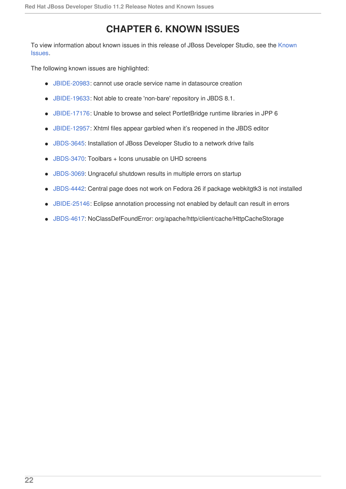# **CHAPTER 6. KNOWN ISSUES**

<span id="page-25-0"></span>To view [information](https://issues.jboss.org/browse/JBIDE-25611?jql=(project in (JBDS) AND (affectedVersion %3C%3D 11.2.0.GA OR affectedVersion is EMPTY) AND (resolution in (Unresolved) OR resolution in (Done) AND fixVersion %3E %2211.2.0.GA%22) OR project in (JBIDE) AND (affectedVersion %3C%3D 4.5.2.Final OR affectedVersion is EMPTY) AND (resolution in (Unresolved) OR resolution in (Done) AND fixVersion %3E %224.5.2.Final%22)) AND type in (Bug)) about known issues in this release of JBoss Developer Studio, see the Known Issues.

The following known issues are highlighted:

- [JBIDE-20983:](https://issues.jboss.org/browse/JBIDE-20983) cannot use oracle service name in datasource creation
- [JBIDE-19633:](https://issues.jboss.org/browse/JBIDE-19633) Not able to create 'non-bare' repository in JBDS 8.1.
- [JBIDE-17176:](https://issues.jboss.org/browse/JBIDE-17176) Unable to browse and select PortletBridge runtime libraries in JPP 6
- [JBIDE-12957:](https://issues.jboss.org/browse/JBIDE-12957) Xhtml files appear garbled when it's reopened in the JBDS editor
- [JBDS-3645](https://issues.jboss.org/browse/JBDS-3645): Installation of JBoss Developer Studio to a network drive fails
- [JBDS-3470](https://issues.jboss.org/browse/JBDS-3470): Toolbars + Icons unusable on UHD screens
- [JBDS-3069](https://issues.jboss.org/browse/JBDS-3069): Ungraceful shutdown results in multiple errors on startup
- [JBDS-4442](https://issues.jboss.org/browse/JBDS-4442): Central page does not work on Fedora 26 if package webkitgtk3 is not installed
- [JBIDE-25146:](https://issues.jboss.org/browse/JBIDE-25146) Eclipse annotation processing not enabled by default can result in errors
- [JBDS-4617](https://issues.jboss.org/browse/JBDS-4617): NoClassDefFoundError: org/apache/http/client/cache/HttpCacheStorage